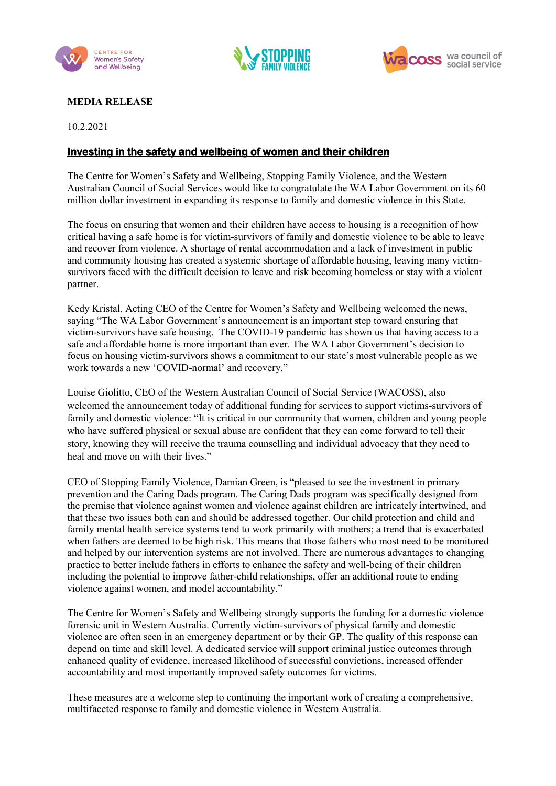





## **MEDIA RELEASE**

10.2.2021

## **Investing in the safety and wellbeing of women and their children**

The Centre for Women's Safety and Wellbeing, Stopping Family Violence, and the Western Australian Council of Social Services would like to congratulate the WA Labor Government on its 60 million dollar investment in expanding its response to family and domestic violence in this State.

The focus on ensuring that women and their children have access to housing is a recognition of how critical having a safe home is for victim-survivors of family and domestic violence to be able to leave and recover from violence. A shortage of rental accommodation and a lack of investment in public and community housing has created a systemic shortage of affordable housing, leaving many victimsurvivors faced with the difficult decision to leave and risk becoming homeless or stay with a violent partner.

Kedy Kristal, Acting CEO of the Centre for Women's Safety and Wellbeing welcomed the news, saying "The WA Labor Government's announcement is an important step toward ensuring that victim-survivors have safe housing. The COVID-19 pandemic has shown us that having access to a safe and affordable home is more important than ever. The WA Labor Government's decision to focus on housing victim-survivors shows a commitment to our state's most vulnerable people as we work towards a new 'COVID-normal' and recovery."

Louise Giolitto, CEO of the Western Australian Council of Social Service (WACOSS), also welcomed the announcement today of additional funding for services to support victims-survivors of family and domestic violence: "It is critical in our community that women, children and young people who have suffered physical or sexual abuse are confident that they can come forward to tell their story, knowing they will receive the trauma counselling and individual advocacy that they need to heal and move on with their lives."

CEO of Stopping Family Violence, Damian Green, is "pleased to see the investment in primary prevention and the Caring Dads program. The Caring Dads program was specifically designed from the premise that violence against women and violence against children are intricately intertwined, and that these two issues both can and should be addressed together. Our child protection and child and family mental health service systems tend to work primarily with mothers; a trend that is exacerbated when fathers are deemed to be high risk. This means that those fathers who most need to be monitored and helped by our intervention systems are not involved. There are numerous advantages to changing practice to better include fathers in efforts to enhance the safety and well-being of their children including the potential to improve father-child relationships, offer an additional route to ending violence against women, and model accountability."

The Centre for Women's Safety and Wellbeing strongly supports the funding for a domestic violence forensic unit in Western Australia. Currently victim-survivors of physical family and domestic violence are often seen in an emergency department or by their GP. The quality of this response can depend on time and skill level. A dedicated service will support criminal justice outcomes through enhanced quality of evidence, increased likelihood of successful convictions, increased offender accountability and most importantly improved safety outcomes for victims.

These measures are a welcome step to continuing the important work of creating a comprehensive, multifaceted response to family and domestic violence in Western Australia.